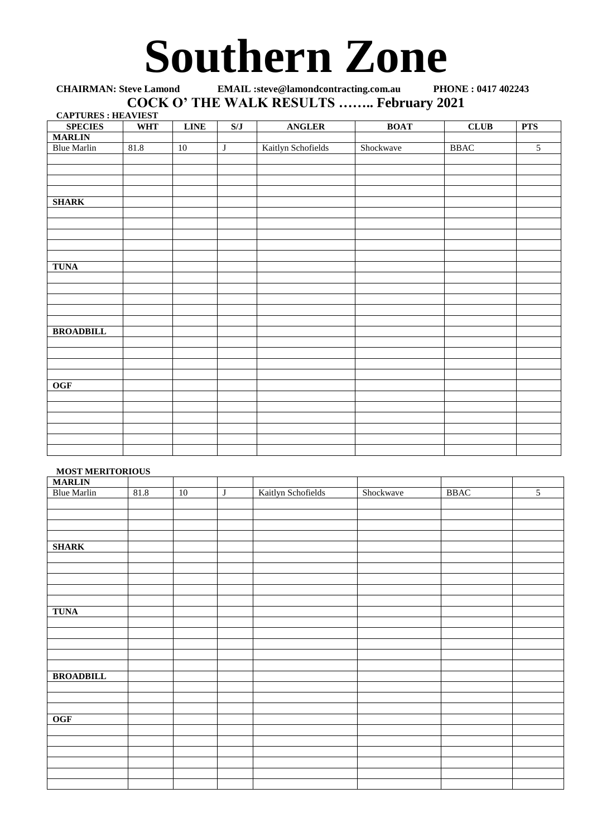## **Southern Zone**

**CHAIRMAN: Steve Lamond EMAIL :steve@lamondcontracting.com.au PHONE : 0417 402243 COCK O' THE WALK RESULTS …….. February 2021**

| <b>CAPTURES: HEAVIEST</b> |            |             |                         |                    |             |               |                |
|---------------------------|------------|-------------|-------------------------|--------------------|-------------|---------------|----------------|
| <b>SPECIES</b>            | <b>WHT</b> | <b>LINE</b> | S/J                     | <b>ANGLER</b>      | <b>BOAT</b> | <b>CLUB</b>   | <b>PTS</b>     |
| <b>MARLIN</b>             |            |             |                         |                    |             |               |                |
| <b>Blue Marlin</b>        | 81.8       | 10          | $\overline{\mathbf{J}}$ | Kaitlyn Schofields | Shockwave   | $_{\rm BBAC}$ | $\overline{5}$ |
|                           |            |             |                         |                    |             |               |                |
|                           |            |             |                         |                    |             |               |                |
|                           |            |             |                         |                    |             |               |                |
|                           |            |             |                         |                    |             |               |                |
| <b>SHARK</b>              |            |             |                         |                    |             |               |                |
|                           |            |             |                         |                    |             |               |                |
|                           |            |             |                         |                    |             |               |                |
|                           |            |             |                         |                    |             |               |                |
|                           |            |             |                         |                    |             |               |                |
|                           |            |             |                         |                    |             |               |                |
| <b>TUNA</b>               |            |             |                         |                    |             |               |                |
|                           |            |             |                         |                    |             |               |                |
|                           |            |             |                         |                    |             |               |                |
|                           |            |             |                         |                    |             |               |                |
|                           |            |             |                         |                    |             |               |                |
|                           |            |             |                         |                    |             |               |                |
| <b>BROADBILL</b>          |            |             |                         |                    |             |               |                |
|                           |            |             |                         |                    |             |               |                |
|                           |            |             |                         |                    |             |               |                |
|                           |            |             |                         |                    |             |               |                |
|                           |            |             |                         |                    |             |               |                |
| <b>OGF</b>                |            |             |                         |                    |             |               |                |
|                           |            |             |                         |                    |             |               |                |
|                           |            |             |                         |                    |             |               |                |
|                           |            |             |                         |                    |             |               |                |
|                           |            |             |                         |                    |             |               |                |
|                           |            |             |                         |                    |             |               |                |
|                           |            |             |                         |                    |             |               |                |
|                           |            |             |                         |                    |             |               |                |

## **MOST MERITORIOUS**

| <b>MARLIN</b>      |      |    |         |                    |           |             |                |
|--------------------|------|----|---------|--------------------|-----------|-------------|----------------|
| <b>Blue Marlin</b> | 81.8 | 10 | $\bf J$ | Kaitlyn Schofields | Shockwave | <b>BBAC</b> | $\overline{5}$ |
|                    |      |    |         |                    |           |             |                |
|                    |      |    |         |                    |           |             |                |
|                    |      |    |         |                    |           |             |                |
|                    |      |    |         |                    |           |             |                |
| <b>SHARK</b>       |      |    |         |                    |           |             |                |
|                    |      |    |         |                    |           |             |                |
|                    |      |    |         |                    |           |             |                |
|                    |      |    |         |                    |           |             |                |
|                    |      |    |         |                    |           |             |                |
|                    |      |    |         |                    |           |             |                |
| <b>TUNA</b>        |      |    |         |                    |           |             |                |
|                    |      |    |         |                    |           |             |                |
|                    |      |    |         |                    |           |             |                |
|                    |      |    |         |                    |           |             |                |
|                    |      |    |         |                    |           |             |                |
|                    |      |    |         |                    |           |             |                |
| <b>BROADBILL</b>   |      |    |         |                    |           |             |                |
|                    |      |    |         |                    |           |             |                |
|                    |      |    |         |                    |           |             |                |
|                    |      |    |         |                    |           |             |                |
| <b>OGF</b>         |      |    |         |                    |           |             |                |
|                    |      |    |         |                    |           |             |                |
|                    |      |    |         |                    |           |             |                |
|                    |      |    |         |                    |           |             |                |
|                    |      |    |         |                    |           |             |                |
|                    |      |    |         |                    |           |             |                |
|                    |      |    |         |                    |           |             |                |